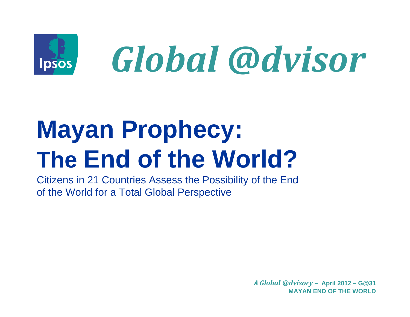

# **Mayan Prophecy:** The End of the World?

Citizens in 21 Countries Assess the Possibility of the End of the World for a Total Global Perspective

> A Global @dvisory - April 2012 - G@31 **MAYAN END OF THE WORLD**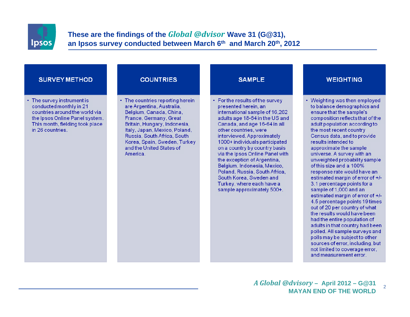

### These are the findings of the Global @dvisor Wave 31 (G@31), an Ipsos survey conducted between March 6th and March 20th, 2012

### **SURVEY METHOD**

 $\cdot$  The survey instrument is conducted monthly in 21 countries around the world via the Ipsos Online Panel system. This month, fielding took place in 26 countries

#### **COUNTRIES**

• The countries reporting herein are Argentina, Australia. Belgium, Canada, China, France, Germany, Great Britain, Hungary, Indonesia, Italy, Japan, Mexico, Poland, Russia, South Africa, South Korea, Spain, Sweden, Turkey and the United States of America.

• For the results of the survey presented herein, an international sample of 16,262 adults age 18-64 in the US and Canada, and age 16-64 in all other countries, were interviewed, Approximately 1000+ individuals participated on a country by country basis via the Ipsos Online Panel with the exception of Argentina, Belgium, Indonesia, Mexico, Poland Russia, South Africa South Korea, Sweden and Turkey, where each have a sample approximately 500+.

**SAMPLE** 

#### **WEIGHTING**

• Weighting was then employed to balance demographics and ensure that the sample's composition reflects that of the adult population according to the most recent country Census data, and to provide results intended to approximate the sample universe. A survey with an unweighted probability sample of this size and a 100% response rate would have an estimated margin of error of +/-3.1 percentage points for a sample of 1,000 and an estimated margin of error of +/-4.5 percentage points 19 times out of 20 per country of what the results would have been had the entire population of adults in that country had been polled. All sample surveys and polls may be subject to other sources of error, including, but not limited to coverage error. and measurement error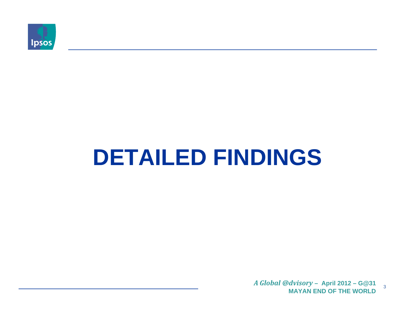

# **DETAILED FINDINGS**

A Global @dvisory - April 2012 - G@31  $\overline{3}$ **MAYAN END OF THE WORLD**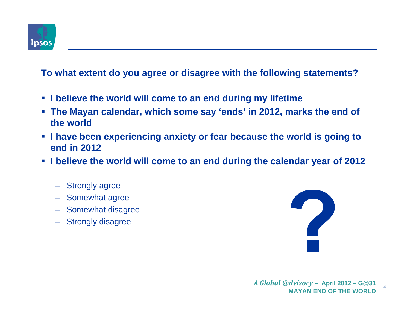

## **To what extent do you agree or disagree with the following statements?**

- **I believe the world will come to an end during my lifetime**
- **The Mayan calendar, which some say 'ends' in 2012, marks the end of the world**
- **I have been experiencing anxiety or fear because the world is going to end in 2012**
- **I** believe the world will come to an end during the calendar year of 2012
	- Strongly agree
	- Somewhat agree
	- Somewhat disagree
	- Strongly disagree

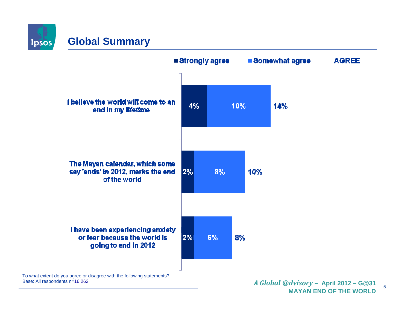**Ipsos** 

## **Global Summary**



5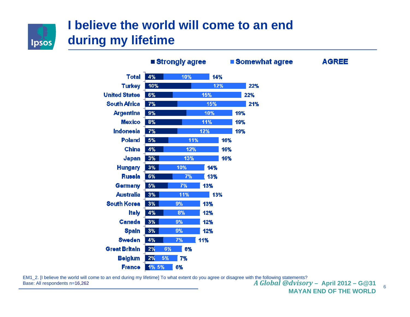

## **I believe the world will come to an end during my lifetime**

|                      | ■ Strongly agree |     |     | ■ Somewhat agree |     |     | <b>AGREE</b> |
|----------------------|------------------|-----|-----|------------------|-----|-----|--------------|
| <b>Total</b>         | 4%               | 10% | 14% |                  |     |     |              |
| <b>Turkey</b>        | 10%              |     | 12% |                  |     | 22% |              |
| <b>United States</b> | 6%               |     | 15% |                  |     | 22% |              |
| <b>South Africa</b>  | 7%               |     | 15% |                  |     | 21% |              |
| <b>Argentina</b>     | 9%               |     | 10% |                  | 19% |     |              |
| <b>Mexico</b>        | 8%               |     | 11% |                  | 19% |     |              |
| Indonesia            | 7%               |     | 12% |                  | 19% |     |              |
| <b>Poland</b>        | 5%               | 11% |     | 16%              |     |     |              |
| <b>China</b>         | 4%               | 12% |     | 16%              |     |     |              |
| Japan                | 3%               | 13% |     | 16%              |     |     |              |
| <b>Hungary</b>       | 3%               | 10% | 14% |                  |     |     |              |
| <b>Russia</b>        | 6%               | 7%  | 13% |                  |     |     |              |
| <b>Germany</b>       | 5%               | 7%  | 13% |                  |     |     |              |
| <b>Australia</b>     | 3%               | 11% | 13% |                  |     |     |              |
| <b>South Korea</b>   | 3%               | 9%  | 13% |                  |     |     |              |
| <b>Italy</b>         | 4%               | 8%  | 12% |                  |     |     |              |
| Canada               | 3%               | 9%  | 12% |                  |     |     |              |
| <b>Spain</b>         | 3%               | 9%  | 12% |                  |     |     |              |
| <b>Sweden</b>        | 4%               | 7%  | 11% |                  |     |     |              |
| <b>Great Britain</b> | 2%<br>6%         | 8%  |     |                  |     |     |              |
| <b>Belgium</b>       | 2%<br>5%         | 7%  |     |                  |     |     |              |
| <b>France</b>        | 1% 5%            | 6%  |     |                  |     |     |              |

 *<sup>A</sup> Global @dvisory* **– April 2012 – G@31** EM1\_2. [I believe the world will come to an end during my lifetime] To what extent do you agree or disagree with the following statements?

Base: All respondents n=16,262

6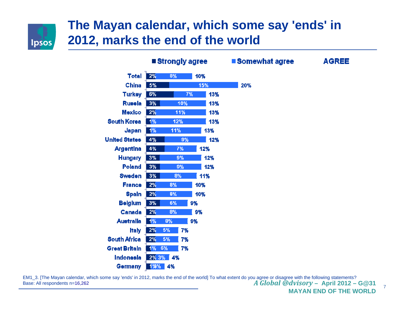

## **The Mayan calendar, which some say 'ends' in 2012, marks the end of the world**

|                      |       | ■ Strongly agree |           | <b>Somewhat agree</b> |  |
|----------------------|-------|------------------|-----------|-----------------------|--|
| <b>Total</b>         | 2%    | 8%               | 10%       |                       |  |
| China                | 5%    |                  | 15%       | 20%                   |  |
| <b>Turkey</b>        | 6%    |                  | 7%<br>13% |                       |  |
| <b>Russia</b>        | 3%    | 10%              | 13%       |                       |  |
| <b>Mexico</b>        | 2%    | 11%              | 13%       |                       |  |
| <b>South Korea</b>   | 1%    | 12%              | 13%       |                       |  |
| Japan                | 1%    | 11%              | 13%       |                       |  |
| <b>United States</b> | 4%    | 9%               | 12%       |                       |  |
| <b>Argentina</b>     | 4%    | 7%               | 12%       |                       |  |
| <b>Hungary</b>       | 3%    | 9%               | 12%       |                       |  |
| Poland               | 3%    | 9%               | 12%       |                       |  |
| <b>Sweden</b>        | 3%    | 8%               | 11%       |                       |  |
| <b>France</b>        | 2%    | 8%               | 10%       |                       |  |
| <b>Spain</b>         | 2%    | 8%               | 10%       |                       |  |
| <b>Belgium</b>       | 3%    | 6%               | 9%        |                       |  |
| <b>Canada</b>        | 2%    | 8%               | 9%        |                       |  |
| <b>Australla</b>     | 1%    | 8%               | 9%        |                       |  |
| <b>Italy</b>         | 2%    | 5%<br>7%         |           |                       |  |
| <b>South Africa</b>  | 2%    | 5%<br>7%         |           |                       |  |
| <b>Great Britain</b> | 1%    | 6%<br>7%         |           |                       |  |
| <b>Indonesia</b>     | 2% 3% | 4%               |           |                       |  |
| Germany              | 1%%   | 4%               |           |                       |  |

**AGREE** 

 *<sup>A</sup> Global @dvisory* **– April 2012 – G@31** EM1\_3. [The Mayan calendar, which some say 'ends' in 2012, marks the end of the world] To what extent do you agree or disagree with the following statements? Base: All respondents n=16,262

**MAYAN END OF THE WORLD**

7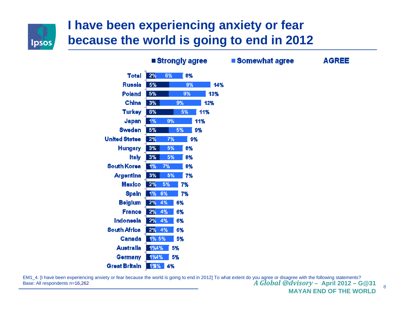

# **I have been experiencing anxiety or fear because the world is going to end in 2012**

**E Chronoly Anno** 

|                      | ∎əuvnyıy ayı <del>cc</del> |    |    |     |  |  |
|----------------------|----------------------------|----|----|-----|--|--|
| <b>Total</b>         | 2%                         | 6% | 8% |     |  |  |
| <b>Russia</b>        | 5%                         |    | 9% |     |  |  |
| Poland               | 5%                         |    | 8% | 13  |  |  |
| China                | 3%                         |    | 9% | 12% |  |  |
| <b>Turkey</b>        | 6%                         |    | 5% | 11% |  |  |
| Japan                | 1%                         | 9% |    | 11% |  |  |
| <b>Sweden</b>        | 5%                         |    | 5% | 9%  |  |  |
| <b>United States</b> | 2%                         | 7% |    | 9%  |  |  |
| <b>Hungary</b>       | 3%                         | 5% | 8% |     |  |  |
| ltaly                | 3%                         | 5% | 8% |     |  |  |
| <b>South Korea</b>   | 1%                         | 7% | 8% |     |  |  |
| <b>Argentina</b>     | 3%                         | 5% | 7% |     |  |  |
| <b>Mexico</b>        | 2%                         | 5% | 7% |     |  |  |
| <b>Spain</b>         | 1%                         | 6% | 7% |     |  |  |
| <b>Belgium</b>       | 2%                         | 4% | 6% |     |  |  |
| <b>France</b>        | 2%                         | 4% | 6% |     |  |  |
| Indonesia            | 2%                         | 4% | 6% |     |  |  |
| <b>South Africa</b>  | 2%                         | 4% | 6% |     |  |  |
| Canada               | 1% 5%                      |    | 5% |     |  |  |
| <b>Australia</b>     | 1%4%                       |    | 5% |     |  |  |
| Germany              | 1%4%                       |    | 5% |     |  |  |
| <b>Great Britain</b> | $1\%$ %<br>4%              |    |    |     |  |  |

■ Somewhat agree **AGREE**  $14%$ 3%

 *<sup>A</sup> Global @dvisory* **– April 2012 – G@31** EM1\_4. [I have been experiencing anxiety or fear because the world is going to end in 2012] To what extent do you agree or disagree with the following statements? Base: All respondents n=16,262

**MAYAN END OF THE WORLD**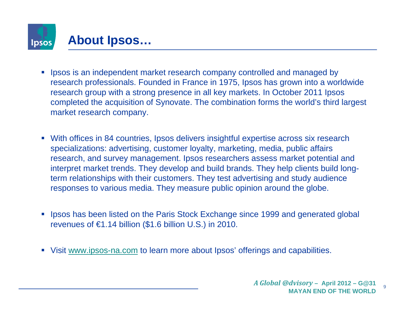

- $\mathcal{C}$  Ipsos is an independent market research company controlled and managed by research professionals. Founded in France in 1975, Ipsos has grown into a worldwide research group with a strong presence in all key markets. In October 2011 Ipsos completed the acquisition of Synovate. The combination forms the world's third largest market research company.
- With offices in 84 countries, Ipsos delivers insightful expertise across six research specializations: advertising, customer loyalty, marketing, media, public affairs research, and survey management. Ipsos researchers assess market potential and interpret market trends. They develop and build brands. They help clients build longterm relationships with their customers. They test advertising and study audience responses to various media. They measure public opinion around the globe.
- **If** Ipsos has been listed on the Paris Stock Exchange since 1999 and generated global revenues of  $\epsilon$ 1.14 billion (\$1.6 billion U.S.) in 2010.
- Visit www.ipsos-na.com to learn more about Ipsos' offerings and capabilities.